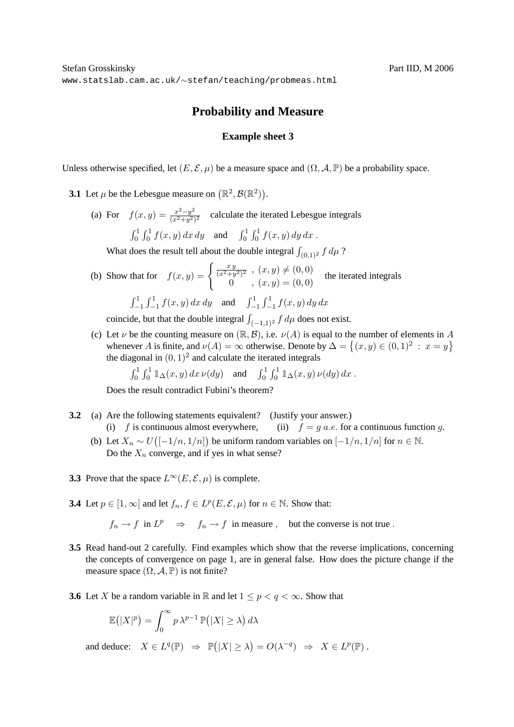## **Probability and Measure**

## **Example sheet 3**

Unless otherwise specified, let  $(E, \mathcal{E}, \mu)$  be a measure space and  $(\Omega, \mathcal{A}, \mathbb{P})$  be a probability space.

- **3.1** Let  $\mu$  be the Lebesgue measure on  $(\mathbb{R}^2, \mathcal{B}(\mathbb{R}^2))$ .
	- (a) For  $f(x,y) = \frac{x^2 y^2}{(x^2 + y^2)}$  $\frac{x-y^2}{(x^2+y^2)^2}$  calculate the iterated Lebesgue integrals  $\int_0^1 \int_0^1 f(x, y) dx dy$  and  $\int_0^1 \int_0^1 f(x, y) dy dx$ .

What does the result tell about the double integral  $\int_{(0,1)^2} f d\mu$ ?

(b) Show that for 
$$
f(x, y) = \begin{cases} \frac{xy}{(x^2 + y^2)^2}, (x, y) \neq (0, 0) \\ 0, (x, y) = (0, 0) \end{cases}
$$
 the iterated integrals

$$
\int_{-1}^{1} \int_{-1}^{1} f(x, y) dx dy
$$
 and  $\int_{-1}^{1} \int_{-1}^{1} f(x, y) dy dx$ 

coincide, but that the double integral  $\int_{(-1,1)^2} f d\mu$  does not exist.

(c) Let  $\nu$  be the counting measure on  $(\mathbb{R}, \mathcal{B})$ , i.e.  $\nu(A)$  is equal to the number of elements in A whenever A is finite, and  $\nu(A) = \infty$  otherwise. Denote by  $\Delta = \{(x, y) \in (0, 1)^2 : x = y\}$ the diagonal in  $(0, 1)^2$  and calculate the iterated integrals

$$
\int_0^1 \int_0^1 \mathbb{1}_{\Delta}(x, y) dx \nu(dy)
$$
 and  $\int_0^1 \int_0^1 \mathbb{1}_{\Delta}(x, y) \nu(dy) dx$ .

Does the result contradict Fubini's theorem?

- **3.2** (a) Are the following statements equivalent? (Justify your answer.) (i) f is continuous almost everywhere, (ii)  $f = g \ a.e.$  for a continuous function g.
	- (b) Let  $X_n \sim U([-1/n, 1/n])$  be uniform random variables on  $[-1/n, 1/n]$  for  $n \in \mathbb{N}$ . Do the  $X_n$  converge, and if yes in what sense?
- **3.3** Prove that the space  $L^{\infty}(E, \mathcal{E}, \mu)$  is complete.
- **3.4** Let  $p \in [1, \infty]$  and let  $f_n, f \in L^p(E, \mathcal{E}, \mu)$  for  $n \in \mathbb{N}$ . Show that:

 $f_n \to f$  in  $L^p \Rightarrow f_n \to f$  in measure, but the converse is not true.

- **3.5** Read hand-out 2 carefully. Find examples which show that the reverse implications, concerning the concepts of convergence on page 1, are in general false. How does the picture change if the measure space  $(\Omega, \mathcal{A}, \mathbb{P})$  is not finite?
- **3.6** Let X be a random variable in R and let  $1 \leq p < q < \infty$ . Show that

$$
\mathbb{E}(|X|^p) = \int_0^\infty p \,\lambda^{p-1} \,\mathbb{P}(|X| \ge \lambda) \,d\lambda
$$

and deduce:  $X \in L^q(\mathbb{P}) \Rightarrow \mathbb{P}(|X| \ge \lambda) = O(\lambda^{-q}) \Rightarrow X \in L^p(\mathbb{P})$ .